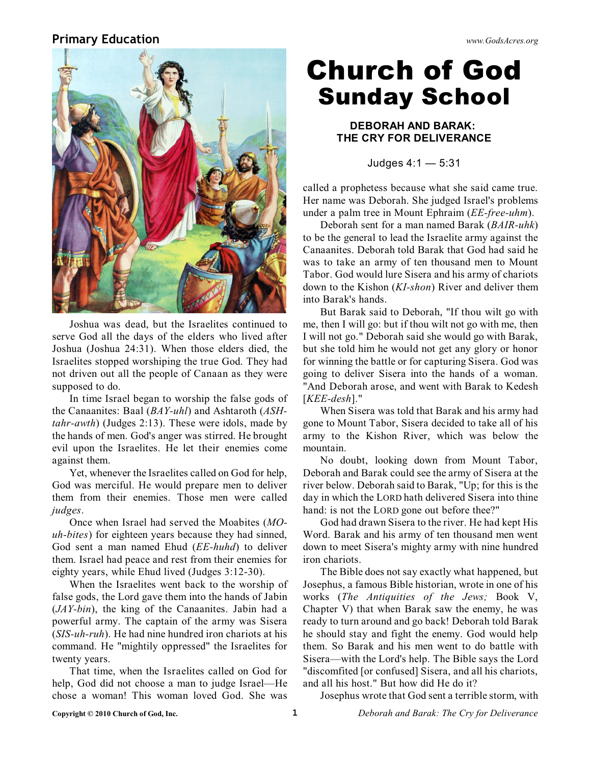## **Primary Education** *www.GodsAcres.org*



Joshua was dead, but the Israelites continued to serve God all the days of the elders who lived after Joshua (Joshua 24:31). When those elders died, the Israelites stopped worshiping the true God. They had not driven out all the people of Canaan as they were supposed to do.

In time Israel began to worship the false gods of the Canaanites: Baal (*BAY-uhl*) and Ashtaroth (*ASHtahr-awth*) (Judges 2:13). These were idols, made by the hands of men. God's anger was stirred. He brought evil upon the Israelites. He let their enemies come against them.

Yet, whenever the Israelites called on God for help, God was merciful. He would prepare men to deliver them from their enemies. Those men were called *judges*.

Once when Israel had served the Moabites (*MOuh-bites*) for eighteen years because they had sinned, God sent a man named Ehud (*EE-huhd*) to deliver them. Israel had peace and rest from their enemies for eighty years, while Ehud lived (Judges 3:12-30).

When the Israelites went back to the worship of false gods, the Lord gave them into the hands of Jabin (*JAY-bin*), the king of the Canaanites. Jabin had a powerful army. The captain of the army was Sisera (*SIS-uh-ruh*). He had nine hundred iron chariots at his command. He "mightily oppressed" the Israelites for twenty years.

That time, when the Israelites called on God for help, God did not choose a man to judge Israel—He chose a woman! This woman loved God. She was

# **Church of God Sunday School**

### **DEBORAH AND BARAK: THE CRY FOR DELIVERANCE**

Judges 4:1 — 5:31

called a prophetess because what she said came true. Her name was Deborah. She judged Israel's problems under a palm tree in Mount Ephraim (*EE-free-uhm*).

Deborah sent for a man named Barak (*BAIR-uhk*) to be the general to lead the Israelite army against the Canaanites. Deborah told Barak that God had said he was to take an army of ten thousand men to Mount Tabor. God would lure Sisera and his army of chariots down to the Kishon (*KI-shon*) River and deliver them into Barak's hands.

But Barak said to Deborah, "If thou wilt go with me, then I will go: but if thou wilt not go with me, then I will not go." Deborah said she would go with Barak, but she told him he would not get any glory or honor for winning the battle or for capturing Sisera. God was going to deliver Sisera into the hands of a woman. "And Deborah arose, and went with Barak to Kedesh [*KEE-desh*]."

When Sisera was told that Barak and his army had gone to Mount Tabor, Sisera decided to take all of his army to the Kishon River, which was below the mountain.

No doubt, looking down from Mount Tabor, Deborah and Barak could see the army of Sisera at the river below. Deborah said to Barak, "Up; for this is the day in which the LORD hath delivered Sisera into thine hand: is not the LORD gone out before thee?"

God had drawn Sisera to the river. He had kept His Word. Barak and his army of ten thousand men went down to meet Sisera's mighty army with nine hundred iron chariots.

The Bible does not say exactly what happened, but Josephus, a famous Bible historian, wrote in one of his works (*The Antiquities of the Jews;* Book V, Chapter V) that when Barak saw the enemy, he was ready to turn around and go back! Deborah told Barak he should stay and fight the enemy. God would help them. So Barak and his men went to do battle with Sisera—with the Lord's help. The Bible says the Lord "discomfited [or confused] Sisera, and all his chariots, and all his host." But how did He do it?

Josephus wrote that God sent a terrible storm, with